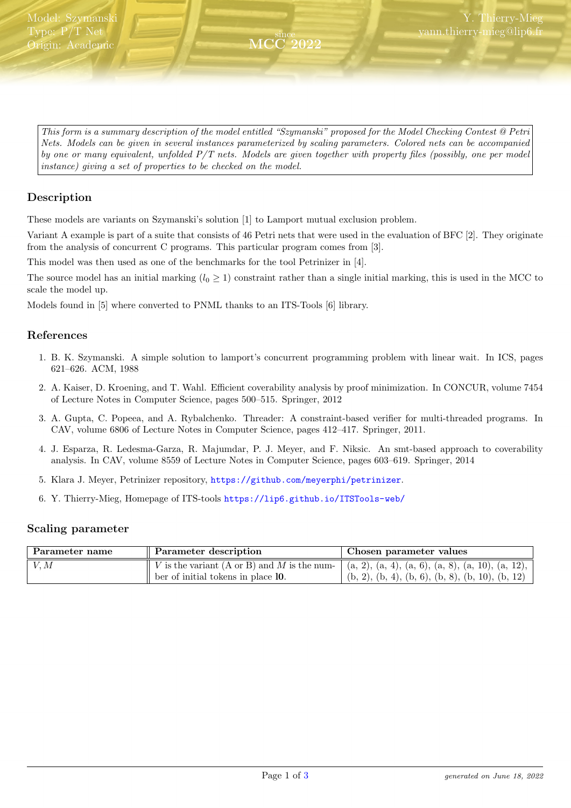<span id="page-0-0"></span>This form is a summary description of the model entitled "Szymanski" proposed for the Model Checking Contest @ Petri Nets. Models can be given in several instances parameterized by scaling parameters. Colored nets can be accompanied by one or many equivalent, unfolded  $P/T$  nets. Models are given together with property files (possibly, one per model instance) giving a set of properties to be checked on the model.

since MCC 2022

## Description

These models are variants on Szymanski's solution [1] to Lamport mutual exclusion problem.

Variant A example is part of a suite that consists of 46 Petri nets that were used in the evaluation of BFC [2]. They originate from the analysis of concurrent C programs. This particular program comes from [3].

This model was then used as one of the benchmarks for the tool Petrinizer in [4].

The source model has an initial marking  $(l_0 \geq 1)$  constraint rather than a single initial marking, this is used in the MCC to scale the model up.

Models found in [5] where converted to PNML thanks to an ITS-Tools [6] library.

# References

- 1. B. K. Szymanski. A simple solution to lamport's concurrent programming problem with linear wait. In ICS, pages 621–626. ACM, 1988
- 2. A. Kaiser, D. Kroening, and T. Wahl. Efficient coverability analysis by proof minimization. In CONCUR, volume 7454 of Lecture Notes in Computer Science, pages 500–515. Springer, 2012
- 3. A. Gupta, C. Popeea, and A. Rybalchenko. Threader: A constraint-based verifier for multi-threaded programs. In CAV, volume 6806 of Lecture Notes in Computer Science, pages 412–417. Springer, 2011.
- 4. J. Esparza, R. Ledesma-Garza, R. Majumdar, P. J. Meyer, and F. Niksic. An smt-based approach to coverability analysis. In CAV, volume 8559 of Lecture Notes in Computer Science, pages 603–619. Springer, 2014
- 5. Klara J. Meyer, Petrinizer repository, <https://github.com/meyerphi/petrinizer>.
- 6. Y. Thierry-Mieg, Homepage of ITS-tools <https://lip6.github.io/ITSTools-web/>

#### Scaling parameter

| Parameter name | Parameter description                                   | Chosen parameter values                             |
|----------------|---------------------------------------------------------|-----------------------------------------------------|
| $\mid V, M$    | $\parallel$ V is the variant (A or B) and M is the num- | $(a, 2), (a, 4), (a, 6), (a, 8), (a, 10), (a, 12),$ |
|                | ber of initial tokens in place 10.                      | $(b, 2), (b, 4), (b, 6), (b, 8), (b, 10), (b, 12)$  |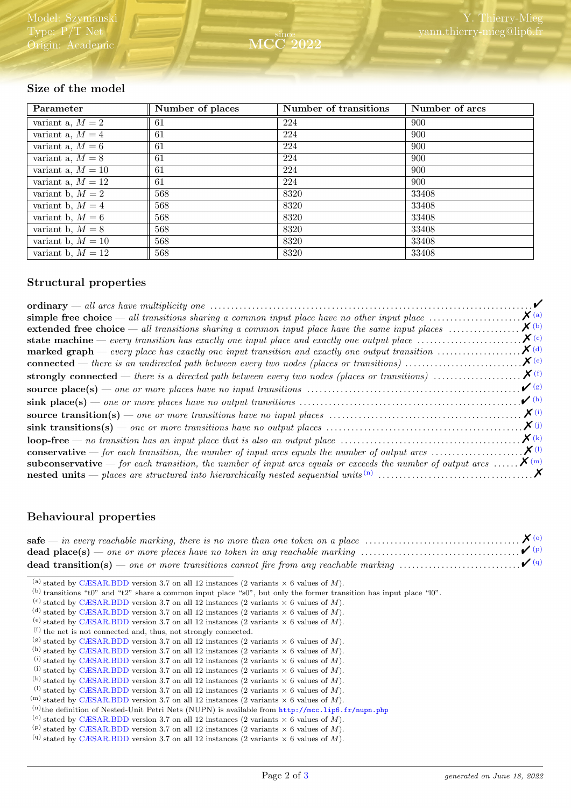## Size of the model

| Parameter           | Number of places | Number of transitions | Number of arcs |
|---------------------|------------------|-----------------------|----------------|
| variant a, $M = 2$  | 61               | 224                   | 900            |
| variant a, $M = 4$  | 61               | 224                   | 900            |
| variant a, $M = 6$  | 61               | 224                   | 900            |
| variant a, $M = 8$  | 61               | 224                   | 900            |
| variant a, $M = 10$ | 61               | 224                   | 900            |
| variant a, $M = 12$ | 61               | 224                   | 900            |
| variant b, $M = 2$  | 568              | 8320                  | 33408          |
| variant b, $M = 4$  | 568              | 8320                  | 33408          |
| variant b, $M = 6$  | 568              | 8320                  | 33408          |
| variant b, $M = 8$  | 568              | 8320                  | 33408          |
| variant b, $M = 10$ | 568              | 8320                  | 33408          |
| variant b, $M = 12$ | 568              | 8320                  | 33408          |

## Structural properties

| simple free choice — all transitions sharing a common input place have no other input place $\dots\dots\dots\dots\dots\dots\dots$                            | $\mathbf{X}$ (a)     |
|--------------------------------------------------------------------------------------------------------------------------------------------------------------|----------------------|
| extended free choice — all transitions sharing a common input place have the same input places $\ldots$                                                      | $\boldsymbol{X}$ (b) |
| state machine — every transition has exactly one input place and exactly one output place $\dots\dots\dots\dots\dots\dots\dots$                              | $\boldsymbol{X}$ (c) |
| <b>marked graph</b> — every place has exactly one input transition and exactly one output transition $\ldots \ldots \ldots \ldots \mathbf{X}$ <sup>(d)</sup> |                      |
|                                                                                                                                                              | $\mathbf{X}$ (e)     |
| strongly connected — there is a directed path between every two nodes (places or transitions) $X^{(f)}$                                                      |                      |
|                                                                                                                                                              | $\mathcal{V}(g)$     |
|                                                                                                                                                              | $\mathcal{V}$ (h)    |
| <b>source transition(s)</b> — one or more transitions have no input places $\dots \dots \dots \dots \dots \dots \dots \dots \dots \dots \dots \dots \dots$   | $\mathbf{X}^{(i)}$   |
|                                                                                                                                                              |                      |
|                                                                                                                                                              |                      |
|                                                                                                                                                              |                      |
| <b>subconservative</b> — for each transition, the number of input arcs equals or exceeds the number of output arcs $\mathbf{X}^{(m)}$                        |                      |
|                                                                                                                                                              |                      |

## Behavioural properties

<span id="page-1-0"></span><sup>(</sup>a) stated by [CÆSAR.BDD](http://cadp.inria.fr/man/caesar.bdd.html) version 3.7 on all 12 instances (2 variants  $\times$  6 values of M).

<span id="page-1-1"></span><sup>(</sup>b) transitions "t0" and "t2" share a common input place "s0", but only the former transition has input place "l0".

<span id="page-1-2"></span><sup>(</sup>c) stated by [CÆSAR.BDD](http://cadp.inria.fr/man/caesar.bdd.html) version 3.7 on all 12 instances (2 variants  $\times$  6 values of M).

<span id="page-1-3"></span><sup>(</sup>d) stated by [CÆSAR.BDD](http://cadp.inria.fr/man/caesar.bdd.html) version 3.7 on all 12 instances (2 variants  $\times$  6 values of M).

<span id="page-1-4"></span><sup>&</sup>lt;sup>(e)</sup> stated by [CÆSAR.BDD](http://cadp.inria.fr/man/caesar.bdd.html) version 3.7 on all 12 instances (2 variants  $\times$  6 values of M).

<span id="page-1-6"></span><span id="page-1-5"></span> $^{\rm (f)}$  the net is not connected and, thus, not strongly connected. (g) stated by [CÆSAR.BDD](http://cadp.inria.fr/man/caesar.bdd.html) version 3.7 on all 12 instances (2 variants  $\times$  6 values of M).

<span id="page-1-7"></span><sup>&</sup>lt;sup>(h)</sup> stated by [CÆSAR.BDD](http://cadp.inria.fr/man/caesar.bdd.html) version 3.7 on all 12 instances (2 variants  $\times$  6 values of M).

<span id="page-1-8"></span><sup>(</sup>i) stated by [CÆSAR.BDD](http://cadp.inria.fr/man/caesar.bdd.html) version 3.7 on all 12 instances (2 variants  $\times$  6 values of M).

<span id="page-1-9"></span><sup>(</sup>i) stated by [CÆSAR.BDD](http://cadp.inria.fr/man/caesar.bdd.html) version 3.7 on all 12 instances (2 variants  $\times$  6 values of M).

<span id="page-1-10"></span><sup>(</sup>k) stated by [CÆSAR.BDD](http://cadp.inria.fr/man/caesar.bdd.html) version 3.7 on all 12 instances (2 variants  $\times$  6 values of M).

<span id="page-1-11"></span><sup>(1)</sup> stated by [CÆSAR.BDD](http://cadp.inria.fr/man/caesar.bdd.html) version 3.7 on all 12 instances (2 variants  $\times$  6 values of M).

<span id="page-1-12"></span> $^{(m)}$  stated by [CÆSAR.BDD](http://cadp.inria.fr/man/caesar.bdd.html) version 3.7 on all 12 instances (2 variants  $\times$  6 values of M).

<span id="page-1-13"></span><sup>(</sup>n)the definition of Nested-Unit Petri Nets (NUPN) is available from <http://mcc.lip6.fr/nupn.php>

<span id="page-1-14"></span><sup>(</sup>o) stated by [CÆSAR.BDD](http://cadp.inria.fr/man/caesar.bdd.html) version 3.7 on all 12 instances (2 variants  $\times$  6 values of M).

<span id="page-1-15"></span><sup>&</sup>lt;sup>(p)</sup> stated by [CÆSAR.BDD](http://cadp.inria.fr/man/caesar.bdd.html) version 3.7 on all 12 instances (2 variants  $\times$  6 values of M).

<span id="page-1-16"></span><sup>(</sup>q) stated by [CÆSAR.BDD](http://cadp.inria.fr/man/caesar.bdd.html) version 3.7 on all 12 instances (2 variants  $\times$  6 values of M).